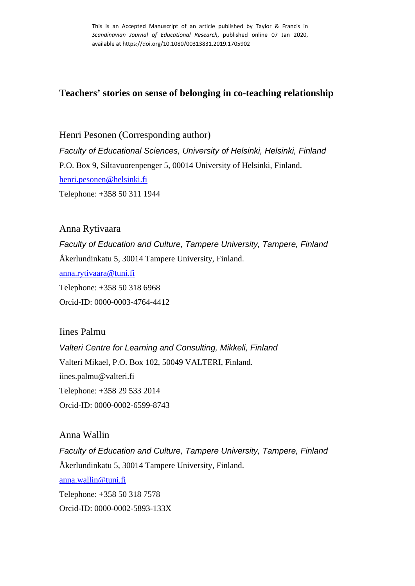This is an Accepted Manuscript of an article published by Taylor & Francis in *Scandinavian Journal of Educational Research*, published online 07 Jan 2020, available at https://doi.org/10.1080/00313831.2019.1705902

# **Teachers' stories on sense of belonging in co-teaching relationship**

Henri Pesonen (Corresponding author) *Faculty of Educational Sciences, University of Helsinki, Helsinki, Finland* P.O. Box 9, Siltavuorenpenger 5, 00014 University of Helsinki, Finland. [henri.pesonen@helsinki.fi](mailto:henri.pesonen@helsinki.fi)  Telephone: +358 50 311 1944

Anna Rytivaara *Faculty of Education and Culture, Tampere University, Tampere, Finland* Åkerlundinkatu 5, 30014 Tampere University, Finland. [anna.rytivaara@tuni.fi](mailto:anna.rytivaara@tuni.fi)  Telephone: +358 50 318 6968 Orcid-ID: 0000-0003-4764-4412

Iines Palmu *Valteri Centre for Learning and Consulting, Mikkeli, Finland* Valteri Mikael, P.O. Box 102, 50049 VALTERI, Finland. iines.palmu@valteri.fi Telephone: +358 29 533 2014 Orcid-ID: 0000-0002-6599-8743

Anna Wallin *Faculty of Education and Culture, Tampere University, Tampere, Finland* Åkerlundinkatu 5, 30014 Tampere University, Finland. [anna.wallin@tuni.fi](mailto:anna.wallin@tuni.fi)  Telephone: +358 50 318 7578 Orcid-ID: 0000-0002-5893-133X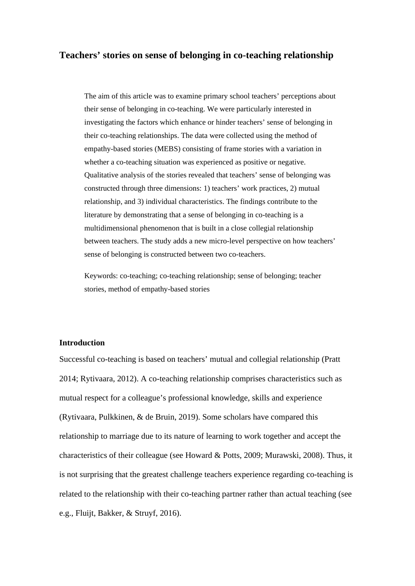# **Teachers' stories on sense of belonging in co-teaching relationship**

The aim of this article was to examine primary school teachers' perceptions about their sense of belonging in co-teaching. We were particularly interested in investigating the factors which enhance or hinder teachers' sense of belonging in their co-teaching relationships. The data were collected using the method of empathy-based stories (MEBS) consisting of frame stories with a variation in whether a co-teaching situation was experienced as positive or negative. Qualitative analysis of the stories revealed that teachers' sense of belonging was constructed through three dimensions: 1) teachers' work practices, 2) mutual relationship, and 3) individual characteristics. The findings contribute to the literature by demonstrating that a sense of belonging in co-teaching is a multidimensional phenomenon that is built in a close collegial relationship between teachers. The study adds a new micro-level perspective on how teachers' sense of belonging is constructed between two co-teachers.

Keywords: co-teaching; co-teaching relationship; sense of belonging; teacher stories, method of empathy-based stories

#### **Introduction**

Successful co-teaching is based on teachers' mutual and collegial relationship (Pratt 2014; Rytivaara, 2012). A co-teaching relationship comprises characteristics such as mutual respect for a colleague's professional knowledge, skills and experience (Rytivaara, Pulkkinen, & de Bruin, 2019). Some scholars have compared this relationship to marriage due to its nature of learning to work together and accept the characteristics of their colleague (see Howard & Potts, 2009; Murawski, 2008). Thus, it is not surprising that the greatest challenge teachers experience regarding co-teaching is related to the relationship with their co-teaching partner rather than actual teaching (see e.g., Fluijt, Bakker, & Struyf, 2016).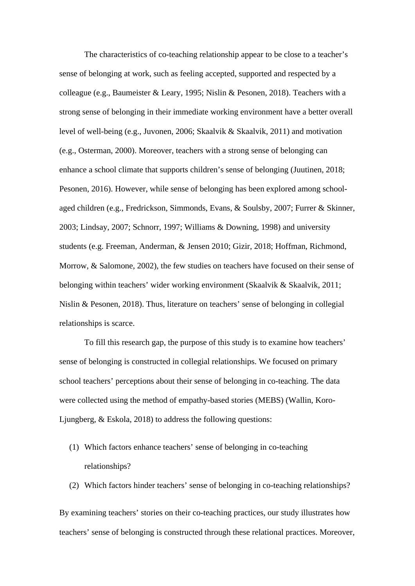The characteristics of co-teaching relationship appear to be close to a teacher's sense of belonging at work, such as feeling accepted, supported and respected by a colleague (e.g., Baumeister & Leary, 1995; Nislin & Pesonen, 2018). Teachers with a strong sense of belonging in their immediate working environment have a better overall level of well-being (e.g., Juvonen, 2006; Skaalvik & Skaalvik, 2011) and motivation (e.g., Osterman, 2000). Moreover, teachers with a strong sense of belonging can enhance a school climate that supports children's sense of belonging (Juutinen, 2018; Pesonen, 2016). However, while sense of belonging has been explored among schoolaged children (e.g., Fredrickson, Simmonds, Evans, & Soulsby, 2007; Furrer & Skinner, 2003; Lindsay, 2007; Schnorr, 1997; Williams & Downing, 1998) and university students (e.g. Freeman, Anderman, & Jensen 2010; Gizir, 2018; Hoffman, Richmond, Morrow, & Salomone, 2002), the few studies on teachers have focused on their sense of belonging within teachers' wider working environment (Skaalvik & Skaalvik, 2011; Nislin & Pesonen, 2018). Thus, literature on teachers' sense of belonging in collegial relationships is scarce.

To fill this research gap, the purpose of this study is to examine how teachers' sense of belonging is constructed in collegial relationships. We focused on primary school teachers' perceptions about their sense of belonging in co-teaching. The data were collected using the method of empathy-based stories (MEBS) (Wallin, Koro-Ljungberg, & Eskola, 2018) to address the following questions:

- (1) Which factors enhance teachers' sense of belonging in co-teaching relationships?
- (2) Which factors hinder teachers' sense of belonging in co-teaching relationships?

By examining teachers' stories on their co-teaching practices, our study illustrates how teachers' sense of belonging is constructed through these relational practices. Moreover,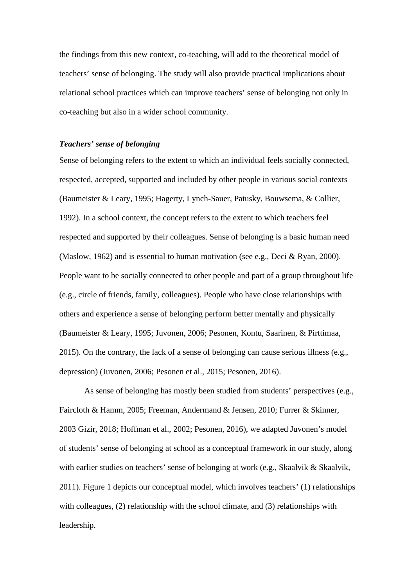the findings from this new context, co-teaching, will add to the theoretical model of teachers' sense of belonging. The study will also provide practical implications about relational school practices which can improve teachers' sense of belonging not only in co-teaching but also in a wider school community.

# *Teachers' sense of belonging*

Sense of belonging refers to the extent to which an individual feels socially connected, respected, accepted, supported and included by other people in various social contexts (Baumeister & Leary, 1995; Hagerty, Lynch-Sauer, Patusky, Bouwsema, & Collier, 1992). In a school context, the concept refers to the extent to which teachers feel respected and supported by their colleagues. Sense of belonging is a basic human need (Maslow, 1962) and is essential to human motivation (see e.g., Deci & Ryan, 2000). People want to be socially connected to other people and part of a group throughout life (e.g., circle of friends, family, colleagues). People who have close relationships with others and experience a sense of belonging perform better mentally and physically (Baumeister & Leary, 1995; Juvonen, 2006; Pesonen, Kontu, Saarinen, & Pirttimaa, 2015). On the contrary, the lack of a sense of belonging can cause serious illness (e.g., depression) (Juvonen, 2006; Pesonen et al., 2015; Pesonen, 2016).

As sense of belonging has mostly been studied from students' perspectives (e.g., Faircloth & Hamm, 2005; Freeman, Andermand & Jensen, 2010; Furrer & Skinner, 2003 Gizir, 2018; Hoffman et al., 2002; Pesonen, 2016), we adapted Juvonen's model of students' sense of belonging at school as a conceptual framework in our study, along with earlier studies on teachers' sense of belonging at work (e.g., Skaalvik & Skaalvik, 2011). Figure 1 depicts our conceptual model, which involves teachers' (1) relationships with colleagues, (2) relationship with the school climate, and (3) relationships with leadership.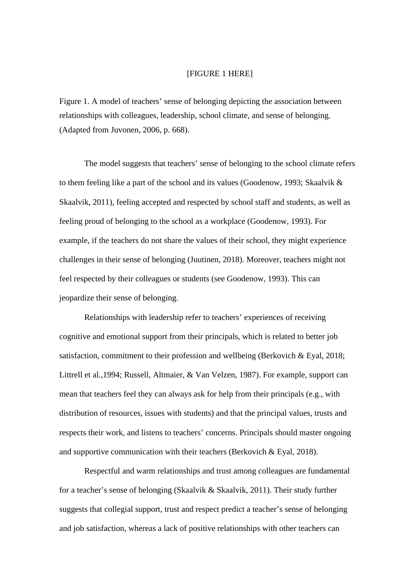## [FIGURE 1 HERE]

Figure 1. A model of teachers' sense of belonging depicting the association between relationships with colleagues, leadership, school climate, and sense of belonging. (Adapted from Juvonen, 2006, p. 668).

The model suggests that teachers' sense of belonging to the school climate refers to them feeling like a part of the school and its values (Goodenow, 1993; Skaalvik & Skaalvik, 2011), feeling accepted and respected by school staff and students, as well as feeling proud of belonging to the school as a workplace (Goodenow, 1993). For example, if the teachers do not share the values of their school, they might experience challenges in their sense of belonging (Juutinen, 2018). Moreover, teachers might not feel respected by their colleagues or students (see Goodenow, 1993). This can jeopardize their sense of belonging.

Relationships with leadership refer to teachers' experiences of receiving cognitive and emotional support from their principals, which is related to better job satisfaction, commitment to their profession and wellbeing (Berkovich & Eyal, 2018; Littrell et al.,1994; Russell, Altmaier, & Van Velzen, 1987). For example, support can mean that teachers feel they can always ask for help from their principals (e.g., with distribution of resources, issues with students) and that the principal values, trusts and respects their work, and listens to teachers' concerns. Principals should master ongoing and supportive communication with their teachers (Berkovich & Eyal, 2018).

Respectful and warm relationships and trust among colleagues are fundamental for a teacher's sense of belonging (Skaalvik & Skaalvik, 2011). Their study further suggests that collegial support, trust and respect predict a teacher's sense of belonging and job satisfaction, whereas a lack of positive relationships with other teachers can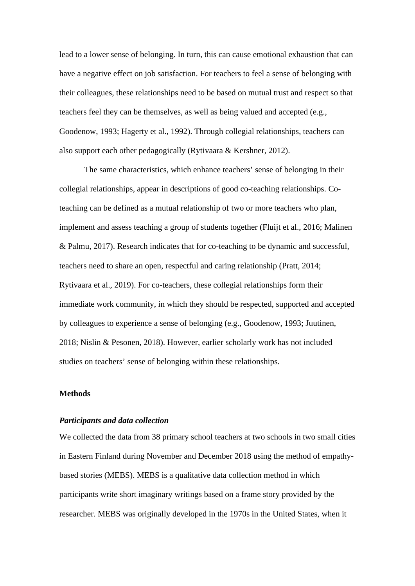lead to a lower sense of belonging. In turn, this can cause emotional exhaustion that can have a negative effect on job satisfaction. For teachers to feel a sense of belonging with their colleagues, these relationships need to be based on mutual trust and respect so that teachers feel they can be themselves, as well as being valued and accepted (e.g., Goodenow, 1993; Hagerty et al., 1992). Through collegial relationships, teachers can also support each other pedagogically (Rytivaara & Kershner, 2012).

The same characteristics, which enhance teachers' sense of belonging in their collegial relationships, appear in descriptions of good co-teaching relationships. Coteaching can be defined as a mutual relationship of two or more teachers who plan, implement and assess teaching a group of students together (Fluijt et al., 2016; Malinen & Palmu, 2017). Research indicates that for co-teaching to be dynamic and successful, teachers need to share an open, respectful and caring relationship (Pratt, 2014; Rytivaara et al., 2019). For co-teachers, these collegial relationships form their immediate work community, in which they should be respected, supported and accepted by colleagues to experience a sense of belonging (e.g., Goodenow, 1993; Juutinen, 2018; Nislin & Pesonen, 2018). However, earlier scholarly work has not included studies on teachers' sense of belonging within these relationships.

## **Methods**

## *Participants and data collection*

We collected the data from 38 primary school teachers at two schools in two small cities in Eastern Finland during November and December 2018 using the method of empathybased stories (MEBS). MEBS is a qualitative data collection method in which participants write short imaginary writings based on a frame story provided by the researcher. MEBS was originally developed in the 1970s in the United States, when it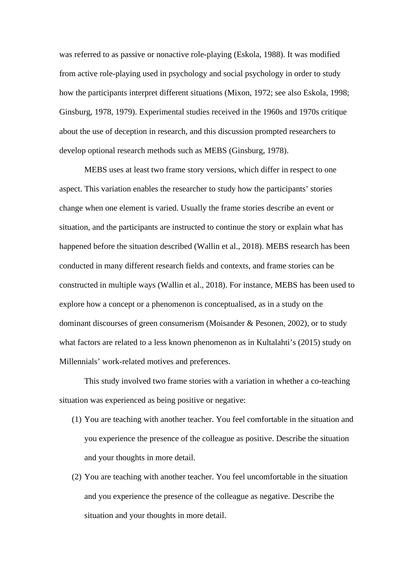was referred to as passive or nonactive role-playing (Eskola, 1988). It was modified from active role-playing used in psychology and social psychology in order to study how the participants interpret different situations (Mixon, 1972; see also Eskola, 1998; Ginsburg, 1978, 1979). Experimental studies received in the 1960s and 1970s critique about the use of deception in research, and this discussion prompted researchers to develop optional research methods such as MEBS (Ginsburg, 1978).

MEBS uses at least two frame story versions, which differ in respect to one aspect. This variation enables the researcher to study how the participants' stories change when one element is varied. Usually the frame stories describe an event or situation, and the participants are instructed to continue the story or explain what has happened before the situation described (Wallin et al., 2018). MEBS research has been conducted in many different research fields and contexts, and frame stories can be constructed in multiple ways (Wallin et al., 2018). For instance, MEBS has been used to explore how a concept or a phenomenon is conceptualised, as in a study on the dominant discourses of green consumerism (Moisander & Pesonen, 2002), or to study what factors are related to a less known phenomenon as in Kultalahti's (2015) study on Millennials' work-related motives and preferences.

This study involved two frame stories with a variation in whether a co-teaching situation was experienced as being positive or negative:

- (1) You are teaching with another teacher. You feel comfortable in the situation and you experience the presence of the colleague as positive. Describe the situation and your thoughts in more detail.
- (2) You are teaching with another teacher. You feel uncomfortable in the situation and you experience the presence of the colleague as negative. Describe the situation and your thoughts in more detail.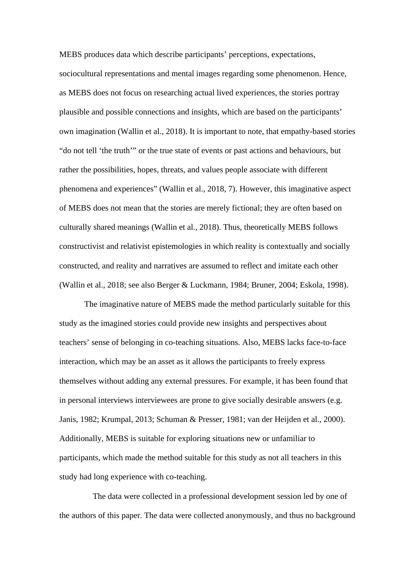MEBS produces data which describe participants' perceptions, expectations, sociocultural representations and mental images regarding some phenomenon. Hence, as MEBS does not focus on researching actual lived experiences, the stories portray plausible and possible connections and insights, which are based on the participants' own imagination (Wallin et al., 2018). It is important to note, that empathy-based stories "do not tell 'the truth'" or the true state of events or past actions and behaviours, but rather the possibilities, hopes, threats, and values people associate with different phenomena and experiences" (Wallin et al., 2018, 7). However, this imaginative aspect of MEBS does not mean that the stories are merely fictional; they are often based on culturally shared meanings (Wallin et al., 2018). Thus, theoretically MEBS follows constructivist and relativist epistemologies in which reality is contextually and socially constructed, and reality and narratives are assumed to reflect and imitate each other (Wallin et al., 2018; see also Berger & Luckmann, 1984; Bruner, 2004; Eskola, 1998).

The imaginative nature of MEBS made the method particularly suitable for this study as the imagined stories could provide new insights and perspectives about teachers' sense of belonging in co-teaching situations. Also, MEBS lacks face-to-face interaction, which may be an asset as it allows the participants to freely express themselves without adding any external pressures. For example, it has been found that in personal interviews interviewees are prone to give socially desirable answers (e.g. Janis, 1982; Krumpal, 2013; Schuman & Presser, 1981; van der Heijden et al., 2000). Additionally, MEBS is suitable for exploring situations new or unfamiliar to participants, which made the method suitable for this study as not all teachers in this study had long experience with co-teaching.

 The data were collected in a professional development session led by one of the authors of this paper. The data were collected anonymously, and thus no background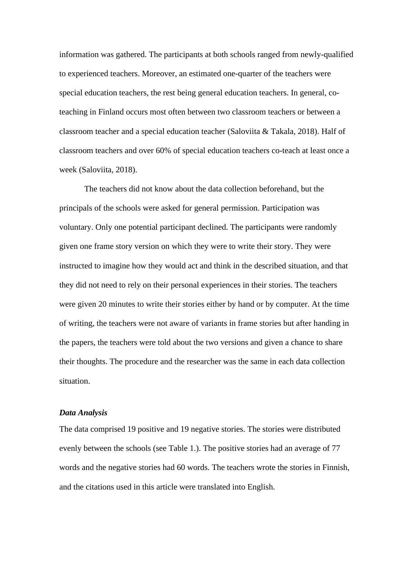information was gathered. The participants at both schools ranged from newly-qualified to experienced teachers. Moreover, an estimated one-quarter of the teachers were special education teachers, the rest being general education teachers. In general, coteaching in Finland occurs most often between two classroom teachers or between a classroom teacher and a special education teacher (Saloviita & Takala, 2018). Half of classroom teachers and over 60% of special education teachers co-teach at least once a week (Saloviita, 2018).

The teachers did not know about the data collection beforehand, but the principals of the schools were asked for general permission. Participation was voluntary. Only one potential participant declined. The participants were randomly given one frame story version on which they were to write their story. They were instructed to imagine how they would act and think in the described situation, and that they did not need to rely on their personal experiences in their stories. The teachers were given 20 minutes to write their stories either by hand or by computer. At the time of writing, the teachers were not aware of variants in frame stories but after handing in the papers, the teachers were told about the two versions and given a chance to share their thoughts. The procedure and the researcher was the same in each data collection situation.

#### *Data Analysis*

The data comprised 19 positive and 19 negative stories. The stories were distributed evenly between the schools (see Table 1.). The positive stories had an average of 77 words and the negative stories had 60 words. The teachers wrote the stories in Finnish, and the citations used in this article were translated into English.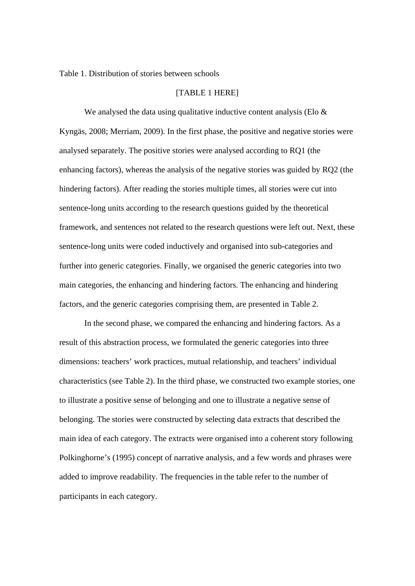Table 1. Distribution of stories between schools

#### [TABLE 1 HERE]

We analysed the data using qualitative inductive content analysis (Elo  $\&$ Kyngäs, 2008; Merriam, 2009). In the first phase, the positive and negative stories were analysed separately. The positive stories were analysed according to RQ1 (the enhancing factors), whereas the analysis of the negative stories was guided by RQ2 (the hindering factors). After reading the stories multiple times, all stories were cut into sentence-long units according to the research questions guided by the theoretical framework, and sentences not related to the research questions were left out. Next, these sentence-long units were coded inductively and organised into sub-categories and further into generic categories. Finally, we organised the generic categories into two main categories, the enhancing and hindering factors. The enhancing and hindering factors, and the generic categories comprising them, are presented in Table 2.

In the second phase, we compared the enhancing and hindering factors. As a result of this abstraction process, we formulated the generic categories into three dimensions: teachers' work practices, mutual relationship, and teachers' individual characteristics (see Table 2). In the third phase, we constructed two example stories, one to illustrate a positive sense of belonging and one to illustrate a negative sense of belonging. The stories were constructed by selecting data extracts that described the main idea of each category. The extracts were organised into a coherent story following Polkinghorne's (1995) concept of narrative analysis, and a few words and phrases were added to improve readability. The frequencies in the table refer to the number of participants in each category.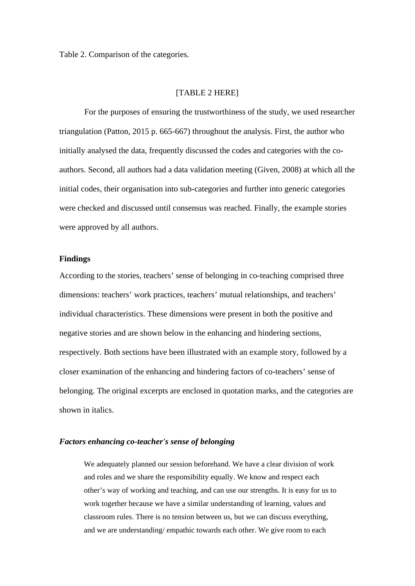Table 2. Comparison of the categories.

### [TABLE 2 HERE]

For the purposes of ensuring the trustworthiness of the study, we used researcher triangulation (Patton, 2015 p. 665-667) throughout the analysis. First, the author who initially analysed the data, frequently discussed the codes and categories with the coauthors. Second, all authors had a data validation meeting (Given, 2008) at which all the initial codes, their organisation into sub-categories and further into generic categories were checked and discussed until consensus was reached. Finally, the example stories were approved by all authors.

## **Findings**

According to the stories, teachers' sense of belonging in co-teaching comprised three dimensions: teachers' work practices, teachers' mutual relationships, and teachers' individual characteristics. These dimensions were present in both the positive and negative stories and are shown below in the enhancing and hindering sections, respectively. Both sections have been illustrated with an example story, followed by a closer examination of the enhancing and hindering factors of co-teachers' sense of belonging. The original excerpts are enclosed in quotation marks, and the categories are shown in italics.

## *Factors enhancing co-teacher's sense of belonging*

We adequately planned our session beforehand. We have a clear division of work and roles and we share the responsibility equally. We know and respect each other's way of working and teaching, and can use our strengths. It is easy for us to work together because we have a similar understanding of learning, values and classroom rules. There is no tension between us, but we can discuss everything, and we are understanding/ empathic towards each other. We give room to each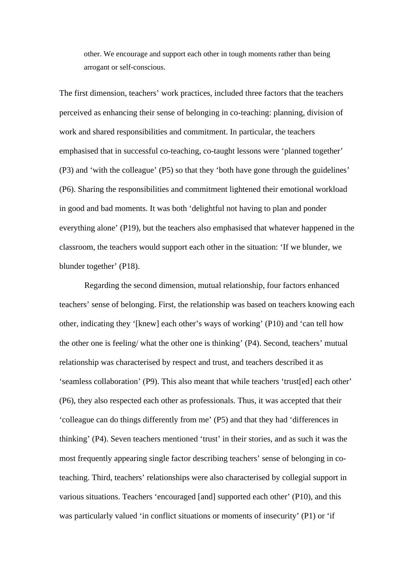other. We encourage and support each other in tough moments rather than being arrogant or self-conscious.

The first dimension, teachers' work practices, included three factors that the teachers perceived as enhancing their sense of belonging in co-teaching: planning, division of work and shared responsibilities and commitment. In particular, the teachers emphasised that in successful co-teaching, co-taught lessons were 'planned together' (P3) and 'with the colleague' (P5) so that they 'both have gone through the guidelines' (P6). Sharing the responsibilities and commitment lightened their emotional workload in good and bad moments. It was both 'delightful not having to plan and ponder everything alone' (P19), but the teachers also emphasised that whatever happened in the classroom, the teachers would support each other in the situation: 'If we blunder, we blunder together' (P18).

Regarding the second dimension, mutual relationship, four factors enhanced teachers' sense of belonging. First, the relationship was based on teachers knowing each other, indicating they '[knew] each other's ways of working' (P10) and 'can tell how the other one is feeling/ what the other one is thinking' (P4). Second, teachers' mutual relationship was characterised by respect and trust, and teachers described it as 'seamless collaboration' (P9). This also meant that while teachers 'trust[ed] each other' (P6), they also respected each other as professionals. Thus, it was accepted that their 'colleague can do things differently from me' (P5) and that they had 'differences in thinking' (P4). Seven teachers mentioned 'trust' in their stories, and as such it was the most frequently appearing single factor describing teachers' sense of belonging in coteaching. Third, teachers' relationships were also characterised by collegial support in various situations. Teachers 'encouraged [and] supported each other' (P10), and this was particularly valued 'in conflict situations or moments of insecurity' (P1) or 'if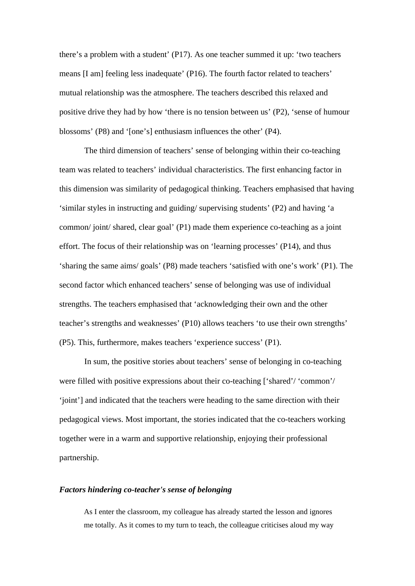there's a problem with a student' (P17). As one teacher summed it up: 'two teachers means [I am] feeling less inadequate' (P16). The fourth factor related to teachers' mutual relationship was the atmosphere. The teachers described this relaxed and positive drive they had by how 'there is no tension between us' (P2), 'sense of humour blossoms' (P8) and '[one's] enthusiasm influences the other' (P4).

The third dimension of teachers' sense of belonging within their co-teaching team was related to teachers' individual characteristics. The first enhancing factor in this dimension was similarity of pedagogical thinking. Teachers emphasised that having 'similar styles in instructing and guiding/ supervising students' (P2) and having 'a common/ joint/ shared, clear goal' (P1) made them experience co-teaching as a joint effort. The focus of their relationship was on 'learning processes' (P14), and thus 'sharing the same aims/ goals' (P8) made teachers 'satisfied with one's work' (P1). The second factor which enhanced teachers' sense of belonging was use of individual strengths. The teachers emphasised that 'acknowledging their own and the other teacher's strengths and weaknesses' (P10) allows teachers 'to use their own strengths' (P5). This, furthermore, makes teachers 'experience success' (P1).

In sum, the positive stories about teachers' sense of belonging in co-teaching were filled with positive expressions about their co-teaching ['shared'/ 'common'/ 'joint'] and indicated that the teachers were heading to the same direction with their pedagogical views. Most important, the stories indicated that the co-teachers working together were in a warm and supportive relationship, enjoying their professional partnership.

#### *Factors hindering co-teacher's sense of belonging*

As I enter the classroom, my colleague has already started the lesson and ignores me totally. As it comes to my turn to teach, the colleague criticises aloud my way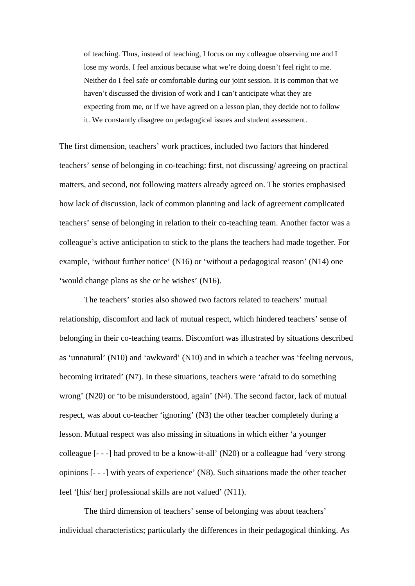of teaching. Thus, instead of teaching, I focus on my colleague observing me and I lose my words. I feel anxious because what we're doing doesn't feel right to me. Neither do I feel safe or comfortable during our joint session. It is common that we haven't discussed the division of work and I can't anticipate what they are expecting from me, or if we have agreed on a lesson plan, they decide not to follow it. We constantly disagree on pedagogical issues and student assessment.

The first dimension, teachers' work practices, included two factors that hindered teachers' sense of belonging in co-teaching: first, not discussing/ agreeing on practical matters, and second, not following matters already agreed on. The stories emphasised how lack of discussion, lack of common planning and lack of agreement complicated teachers' sense of belonging in relation to their co-teaching team. Another factor was a colleague's active anticipation to stick to the plans the teachers had made together. For example, 'without further notice' (N16) or 'without a pedagogical reason' (N14) one 'would change plans as she or he wishes' (N16).

The teachers' stories also showed two factors related to teachers' mutual relationship, discomfort and lack of mutual respect, which hindered teachers' sense of belonging in their co-teaching teams. Discomfort was illustrated by situations described as 'unnatural' (N10) and 'awkward' (N10) and in which a teacher was 'feeling nervous, becoming irritated' (N7). In these situations, teachers were 'afraid to do something wrong' (N20) or 'to be misunderstood, again' (N4). The second factor, lack of mutual respect, was about co-teacher 'ignoring' (N3) the other teacher completely during a lesson. Mutual respect was also missing in situations in which either 'a younger colleague [- - -] had proved to be a know-it-all' (N20) or a colleague had 'very strong opinions [- - -] with years of experience' (N8). Such situations made the other teacher feel '[his/ her] professional skills are not valued' (N11).

The third dimension of teachers' sense of belonging was about teachers' individual characteristics; particularly the differences in their pedagogical thinking. As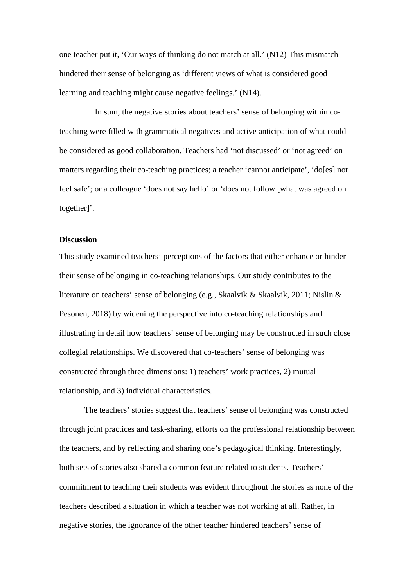one teacher put it, 'Our ways of thinking do not match at all.' (N12) This mismatch hindered their sense of belonging as 'different views of what is considered good learning and teaching might cause negative feelings.' (N14).

 In sum, the negative stories about teachers' sense of belonging within coteaching were filled with grammatical negatives and active anticipation of what could be considered as good collaboration. Teachers had 'not discussed' or 'not agreed' on matters regarding their co-teaching practices; a teacher 'cannot anticipate', 'do[es] not feel safe'; or a colleague 'does not say hello' or 'does not follow [what was agreed on together]'.

# **Discussion**

This study examined teachers' perceptions of the factors that either enhance or hinder their sense of belonging in co-teaching relationships. Our study contributes to the literature on teachers' sense of belonging (e.g., Skaalvik & Skaalvik, 2011; Nislin & Pesonen, 2018) by widening the perspective into co-teaching relationships and illustrating in detail how teachers' sense of belonging may be constructed in such close collegial relationships. We discovered that co-teachers' sense of belonging was constructed through three dimensions: 1) teachers' work practices, 2) mutual relationship, and 3) individual characteristics.

The teachers' stories suggest that teachers' sense of belonging was constructed through joint practices and task-sharing, efforts on the professional relationship between the teachers, and by reflecting and sharing one's pedagogical thinking. Interestingly, both sets of stories also shared a common feature related to students. Teachers' commitment to teaching their students was evident throughout the stories as none of the teachers described a situation in which a teacher was not working at all. Rather, in negative stories, the ignorance of the other teacher hindered teachers' sense of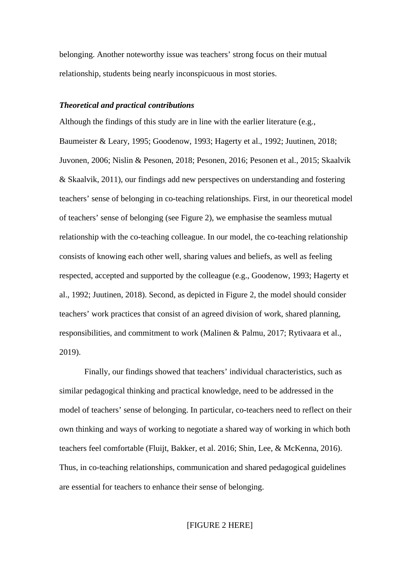belonging. Another noteworthy issue was teachers' strong focus on their mutual relationship, students being nearly inconspicuous in most stories.

## *Theoretical and practical contributions*

Although the findings of this study are in line with the earlier literature (e.g., Baumeister & Leary, 1995; Goodenow, 1993; Hagerty et al., 1992; Juutinen, 2018; Juvonen, 2006; Nislin & Pesonen, 2018; Pesonen, 2016; Pesonen et al., 2015; Skaalvik & Skaalvik, 2011), our findings add new perspectives on understanding and fostering teachers' sense of belonging in co-teaching relationships. First, in our theoretical model of teachers' sense of belonging (see Figure 2), we emphasise the seamless mutual relationship with the co-teaching colleague. In our model, the co-teaching relationship consists of knowing each other well, sharing values and beliefs, as well as feeling respected, accepted and supported by the colleague (e.g., Goodenow, 1993; Hagerty et al., 1992; Juutinen, 2018). Second, as depicted in Figure 2, the model should consider teachers' work practices that consist of an agreed division of work, shared planning, responsibilities, and commitment to work (Malinen & Palmu, 2017; Rytivaara et al., 2019).

Finally, our findings showed that teachers' individual characteristics, such as similar pedagogical thinking and practical knowledge, need to be addressed in the model of teachers' sense of belonging. In particular, co-teachers need to reflect on their own thinking and ways of working to negotiate a shared way of working in which both teachers feel comfortable (Fluijt, Bakker, et al. 2016; Shin, Lee, & McKenna, 2016). Thus, in co-teaching relationships, communication and shared pedagogical guidelines are essential for teachers to enhance their sense of belonging.

## [FIGURE 2 HERE]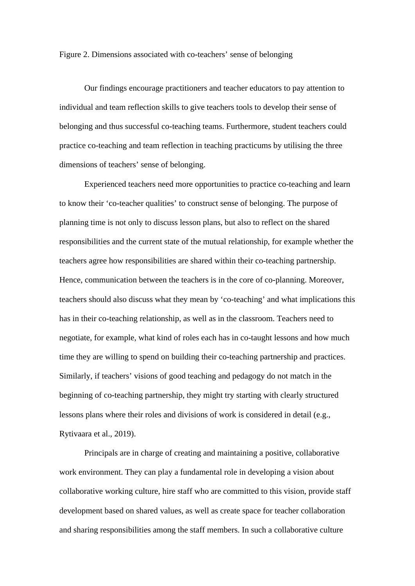Figure 2. Dimensions associated with co-teachers' sense of belonging

Our findings encourage practitioners and teacher educators to pay attention to individual and team reflection skills to give teachers tools to develop their sense of belonging and thus successful co-teaching teams. Furthermore, student teachers could practice co-teaching and team reflection in teaching practicums by utilising the three dimensions of teachers' sense of belonging.

Experienced teachers need more opportunities to practice co-teaching and learn to know their 'co-teacher qualities' to construct sense of belonging. The purpose of planning time is not only to discuss lesson plans, but also to reflect on the shared responsibilities and the current state of the mutual relationship, for example whether the teachers agree how responsibilities are shared within their co-teaching partnership. Hence, communication between the teachers is in the core of co-planning. Moreover, teachers should also discuss what they mean by 'co-teaching' and what implications this has in their co-teaching relationship, as well as in the classroom. Teachers need to negotiate, for example, what kind of roles each has in co-taught lessons and how much time they are willing to spend on building their co-teaching partnership and practices. Similarly, if teachers' visions of good teaching and pedagogy do not match in the beginning of co-teaching partnership, they might try starting with clearly structured lessons plans where their roles and divisions of work is considered in detail (e.g., Rytivaara et al., 2019).

Principals are in charge of creating and maintaining a positive, collaborative work environment. They can play a fundamental role in developing a vision about collaborative working culture, hire staff who are committed to this vision, provide staff development based on shared values, as well as create space for teacher collaboration and sharing responsibilities among the staff members. In such a collaborative culture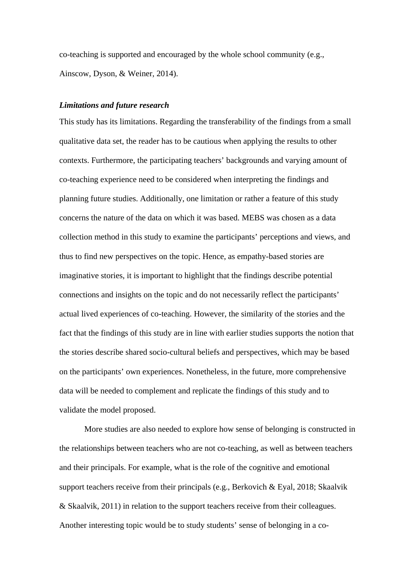co-teaching is supported and encouraged by the whole school community (e.g., Ainscow, Dyson, & Weiner, 2014).

## *Limitations and future research*

This study has its limitations. Regarding the transferability of the findings from a small qualitative data set, the reader has to be cautious when applying the results to other contexts. Furthermore, the participating teachers' backgrounds and varying amount of co-teaching experience need to be considered when interpreting the findings and planning future studies. Additionally, one limitation or rather a feature of this study concerns the nature of the data on which it was based. MEBS was chosen as a data collection method in this study to examine the participants' perceptions and views, and thus to find new perspectives on the topic. Hence, as empathy-based stories are imaginative stories, it is important to highlight that the findings describe potential connections and insights on the topic and do not necessarily reflect the participants' actual lived experiences of co-teaching. However, the similarity of the stories and the fact that the findings of this study are in line with earlier studies supports the notion that the stories describe shared socio-cultural beliefs and perspectives, which may be based on the participants' own experiences. Nonetheless, in the future, more comprehensive data will be needed to complement and replicate the findings of this study and to validate the model proposed.

More studies are also needed to explore how sense of belonging is constructed in the relationships between teachers who are not co-teaching, as well as between teachers and their principals. For example, what is the role of the cognitive and emotional support teachers receive from their principals (e.g., Berkovich & Eyal, 2018; Skaalvik & Skaalvik, 2011) in relation to the support teachers receive from their colleagues. Another interesting topic would be to study students' sense of belonging in a co-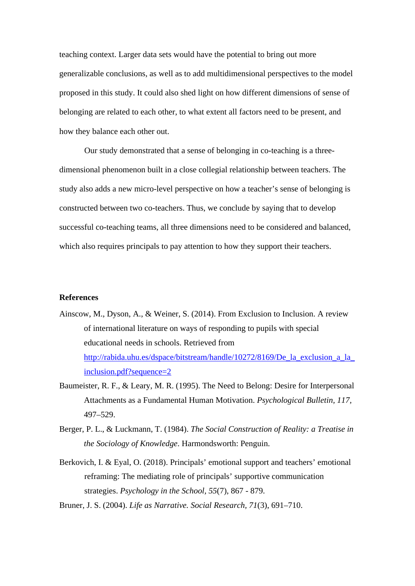teaching context. Larger data sets would have the potential to bring out more generalizable conclusions, as well as to add multidimensional perspectives to the model proposed in this study. It could also shed light on how different dimensions of sense of belonging are related to each other, to what extent all factors need to be present, and how they balance each other out.

Our study demonstrated that a sense of belonging in co-teaching is a threedimensional phenomenon built in a close collegial relationship between teachers. The study also adds a new micro-level perspective on how a teacher's sense of belonging is constructed between two co-teachers. Thus, we conclude by saying that to develop successful co-teaching teams, all three dimensions need to be considered and balanced, which also requires principals to pay attention to how they support their teachers.

## **References**

- Ainscow, M., Dyson, A., & Weiner, S. (2014). From Exclusion to Inclusion. A review of international literature on ways of responding to pupils with special educational needs in schools. Retrieved from [http://rabida.uhu.es/dspace/bitstream/handle/10272/8169/De\\_la\\_exclusion\\_a\\_la\\_](http://rabida.uhu.es/dspace/bitstream/handle/10272/8169/De_la_exclusion_a_la_inclusion.pdf?sequence=2) [inclusion.pdf?sequence=2](http://rabida.uhu.es/dspace/bitstream/handle/10272/8169/De_la_exclusion_a_la_inclusion.pdf?sequence=2)
- Baumeister, R. F., & Leary, M. R. (1995). The Need to Belong: Desire for Interpersonal Attachments as a Fundamental Human Motivation. *Psychological Bulletin, 117,* 497–529.
- Berger, P. L., & Luckmann, T. (1984). *The Social Construction of Reality: a Treatise in the Sociology of Knowledge*. Harmondsworth: Penguin.
- Berkovich, I. & Eyal, O. (2018). Principals' emotional support and teachers' emotional reframing: The mediating role of principals' supportive communication strategies. *Psychology in the School, 55*(7), 867 - 879.

Bruner, J. S. (2004). *Life as Narrative. Social Research, 71*(3), 691–710.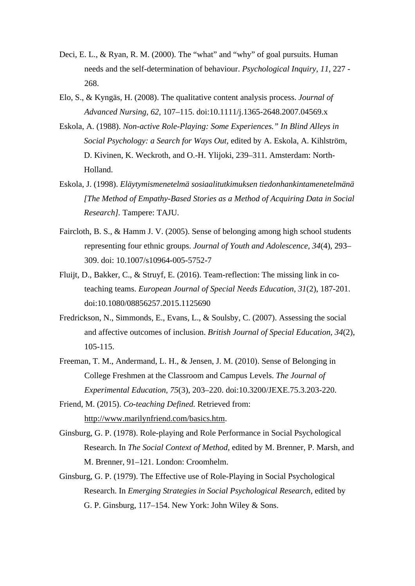- Deci, E. L., & Ryan, R. M. (2000). The "what" and "why" of goal pursuits. Human needs and the self-determination of behaviour. *Psychological Inquiry, 11,* 227 - 268.
- Elo, S., & Kyngäs, H. (2008). The qualitative content analysis process. *Journal of Advanced Nursing, 62,* 107–115. doi:10.1111/j.1365-2648.2007.04569.x
- Eskola, A. (1988). *Non-active Role-Playing: Some Experiences." In Blind Alleys in Social Psychology: a Search for Ways Out*, edited by A. Eskola, A. Kihlström, D. Kivinen, K. Weckroth, and O.-H. Ylijoki, 239–311. Amsterdam: North-Holland.
- Eskola, J. (1998). *Eläytymismenetelmä sosiaalitutkimuksen tiedonhankintamenetelmänä [The Method of Empathy-Based Stories as a Method of Acquiring Data in Social Research].* Tampere: TAJU.
- Faircloth, B. S., & Hamm J. V. (2005). Sense of belonging among high school students representing four ethnic groups. *Journal of Youth and Adolescence, 34*(4), 293– 309. doi: 10.1007/s10964-005-5752-7
- Fluijt, D., Bakker, C., & Struyf, E. (2016). Team-reflection: The missing link in coteaching teams. *European Journal of Special Needs Education, 31*(2), 187-201. doi:10.1080/08856257.2015.1125690
- Fredrickson, N., Simmonds, E., Evans, L., & Soulsby, C. (2007). Assessing the social and affective outcomes of inclusion. *British Journal of Special Education, 34*(2), 105-115.
- Freeman, T. M., Andermand, L. H., & Jensen, J. M. (2010). Sense of Belonging in College Freshmen at the Classroom and Campus Levels. *The Journal of Experimental Education, 75*(3), 203–220. doi:10.3200/JEXE.75.3.203-220.
- Friend, M. (2015). *Co-teaching Defined.* Retrieved from: [http://www.marilynfriend.com/basics.htm.](http://www.marilynfriend.com/basics.htm)
- Ginsburg, G. P. (1978). Role-playing and Role Performance in Social Psychological Research. In *The Social Context of Method*, edited by M. Brenner, P. Marsh, and M. Brenner, 91–121. London: Croomhelm.
- Ginsburg, G. P. (1979). The Effective use of Role-Playing in Social Psychological Research. In *Emerging Strategies in Social Psychological Research*, edited by G. P. Ginsburg, 117–154. New York: John Wiley & Sons.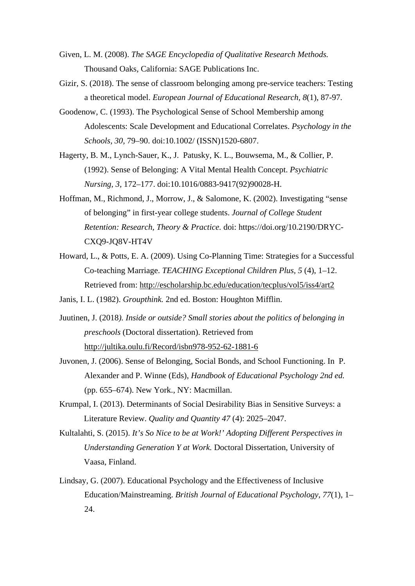- Given, L. M. (2008). *The SAGE Encyclopedia of Qualitative Research Methods.*  Thousand Oaks, California: SAGE Publications Inc.
- Gizir, S. (2018). The sense of classroom belonging among pre-service teachers: Testing a theoretical model. *European Journal of Educational Research, 8*(1), 87-97.
- Goodenow, C. (1993). The Psychological Sense of School Membership among Adolescents: Scale Development and Educational Correlates. *Psychology in the Schools, 30,* 79–90. doi:10.1002/ (ISSN)1520-6807.
- Hagerty, B. M., Lynch-Sauer, K., J. Patusky, K. L., Bouwsema, M., & Collier, P. (1992). Sense of Belonging: A Vital Mental Health Concept. *Psychiatric Nursing, 3,* 172–177. doi:10.1016/0883-9417(92)90028-H.
- Hoffman, M., Richmond, J., Morrow, J., & Salomone, K. (2002). Investigating "sense of belonging" in first-year college students. *Journal of College Student Retention: Research, Theory & Practice.* doi: https://doi.org/10.2190/DRYC-CXQ9-JQ8V-HT4V
- Howard, L., & Potts, E. A. (2009). Using Co-Planning Time: Strategies for a Successful Co-teaching Marriage. *TEACHING Exceptional Children Plus, 5* (4), 1–12. Retrieved from:<http://escholarship.bc.edu/education/tecplus/vol5/iss4/art2>
- Janis, I. L. (1982). *Groupthink.* 2nd ed. Boston: Houghton Mifflin.
- Juutinen, J. (2018*). Inside or outside? Small stories about the politics of belonging in preschools* (Doctoral dissertation). Retrieved from <http://jultika.oulu.fi/Record/isbn978-952-62-1881-6>
- Juvonen, J. (2006). Sense of Belonging, Social Bonds, and School Functioning. In P. Alexander and P. Winne (Eds), *Handbook of Educational Psychology 2nd ed.* (pp. 655–674). New York., NY: Macmillan.
- Krumpal, I. (2013). Determinants of Social Desirability Bias in Sensitive Surveys: a Literature Review. *Quality and Quantity 47* (4): 2025–2047.
- Kultalahti, S. (2015). *It's So Nice to be at Work!' Adopting Different Perspectives in Understanding Generation Y at Work.* Doctoral Dissertation, University of Vaasa, Finland.
- Lindsay, G. (2007). Educational Psychology and the Effectiveness of Inclusive Education/Mainstreaming. *British Journal of Educational Psychology, 77*(1), 1– 24.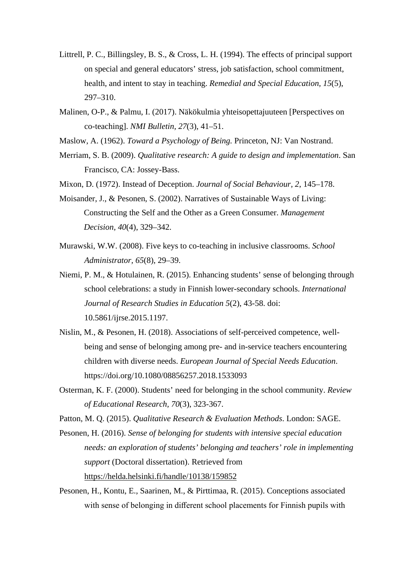- Littrell, P. C., Billingsley, B. S., & Cross, L. H. (1994). The effects of principal support on special and general educators' stress, job satisfaction, school commitment, health, and intent to stay in teaching. *Remedial and Special Education, 15*(5), 297–310.
- Malinen, O-P., & Palmu, I. (2017). Näkökulmia yhteisopettajuuteen [Perspectives on co-teaching]. *NMI Bulletin, 27*(3), 41–51.
- Maslow, A. (1962). *Toward a Psychology of Being.* Princeton, NJ: Van Nostrand.
- Merriam, S. B. (2009). *Qualitative research: A guide to design and implementation*. San Francisco, CA: Jossey-Bass.
- Mixon, D. (1972). Instead of Deception. *Journal of Social Behaviour, 2*, 145–178.
- Moisander, J., & Pesonen, S. (2002). Narratives of Sustainable Ways of Living: Constructing the Self and the Other as a Green Consumer. *Management Decision, 40*(4), 329–342.
- Murawski, W.W. (2008). Five keys to co-teaching in inclusive classrooms. *School Administrator, 65*(8), 29–39.
- Niemi, P. M., & Hotulainen, R. (2015). Enhancing students' sense of belonging through school celebrations: a study in Finnish lower-secondary schools. *International Journal of Research Studies in Education 5*(2), 43-58. doi: 10.5861/ijrse.2015.1197.
- Nislin, M., & Pesonen, H. (2018). Associations of self-perceived competence, wellbeing and sense of belonging among pre- and in-service teachers encountering children with diverse needs. *European Journal of Special Needs Education*. https://doi.org/10.1080/08856257.2018.1533093
- Osterman, K. F. (2000). Students' need for belonging in the school community. *Review of Educational Research, 70*(3), 323-367.
- Patton, M. Q. (2015). *Qualitative Research & Evaluation Methods*. London: SAGE.
- Pesonen, H. (2016). *Sense of belonging for students with intensive special education needs: an exploration of students' belonging and teachers' role in implementing support* (Doctoral dissertation). Retrieved from <https://helda.helsinki.fi/handle/10138/159852>
- Pesonen, H., Kontu, E., Saarinen, M., & Pirttimaa, R. (2015). Conceptions associated with sense of belonging in different school placements for Finnish pupils with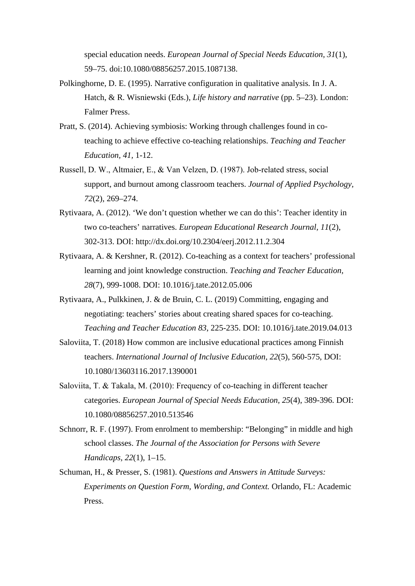special education needs. *European Journal of Special Needs Education, 31*(1), 59–75. doi:10.1080/08856257.2015.1087138.

- Polkinghorne, D. E. (1995). Narrative configuration in qualitative analysis. In J. A. Hatch, & R. Wisniewski (Eds.), *Life history and narrative* (pp. 5–23). London: Falmer Press.
- Pratt, S. (2014). Achieving symbiosis: Working through challenges found in coteaching to achieve effective co-teaching relationships. *Teaching and Teacher Education, 41,* 1-12.
- Russell, D. W., Altmaier, E., & Van Velzen, D. (1987). Job‐related stress, social support, and burnout among classroom teachers. *Journal of Applied Psychology, 72*(2), 269–274.
- Rytivaara, A. (2012). 'We don't question whether we can do this': Teacher identity in two co-teachers' narratives. *European Educational Research Journal, 11*(2), 302-313. DOI: http://dx.doi.org/10.2304/eerj.2012.11.2.304
- Rytivaara, A. & Kershner, R. (2012). Co-teaching as a context for teachers' professional learning and joint knowledge construction. *Teaching and Teacher Education, 28*(7), 999-1008. DOI: 10.1016/j.tate.2012.05.006
- Rytivaara, A., Pulkkinen, J. & de Bruin, C. L. (2019) Committing, engaging and negotiating: teachers' stories about creating shared spaces for co-teaching. *Teaching and Teacher Education 83*, 225-235. DOI: 10.1016/j.tate.2019.04.013
- Saloviita, T. (2018) How common are inclusive educational practices among Finnish teachers. *International Journal of Inclusive Education, 22*(5), 560-575, DOI: 10.1080/13603116.2017.1390001
- Saloviita, T. & Takala, M. (2010): Frequency of co-teaching in different teacher categories. *European Journal of Special Needs Education, 25*(4), 389-396. DOI: 10.1080/08856257.2010.513546
- Schnorr, R. F. (1997). From enrolment to membership: "Belonging" in middle and high school classes. *The Journal of the Association for Persons with Severe Handicaps, 22*(1), 1–15.
- Schuman, H., & Presser, S. (1981). *Questions and Answers in Attitude Surveys: Experiments on Question Form, Wording, and Context.* Orlando, FL: Academic Press.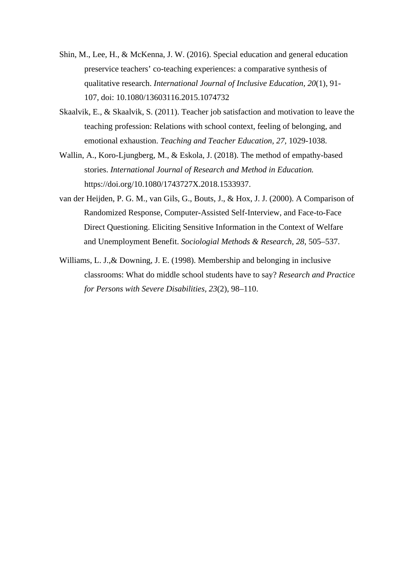- Shin, M., Lee, H., & McKenna, J. W. (2016). Special education and general education preservice teachers' co-teaching experiences: a comparative synthesis of qualitative research. *International Journal of Inclusive Education, 20*(1), 91- 107, doi: 10.1080/13603116.2015.1074732
- Skaalvik, E., & Skaalvik, S. (2011). Teacher job satisfaction and motivation to leave the teaching profession: Relations with school context, feeling of belonging, and emotional exhaustion. *Teaching and Teacher Education, 27,* 1029-1038.
- Wallin, A., Koro-Ljungberg, M., & Eskola, J. (2018). The method of empathy-based stories. *International Journal of Research and Method in Education.* https://doi.org/10.1080/1743727X.2018.1533937.
- van der Heijden, P. G. M., van Gils, G., Bouts, J., & Hox, J. J. (2000). A Comparison of Randomized Response, Computer-Assisted Self-Interview, and Face-to-Face Direct Questioning. Eliciting Sensitive Information in the Context of Welfare and Unemployment Benefit. *Sociologial Methods & Research, 28*, 505–537.
- Williams, L. J.,& Downing, J. E. (1998). Membership and belonging in inclusive classrooms: What do middle school students have to say? *Research and Practice for Persons with Severe Disabilities, 23*(2), 98–110.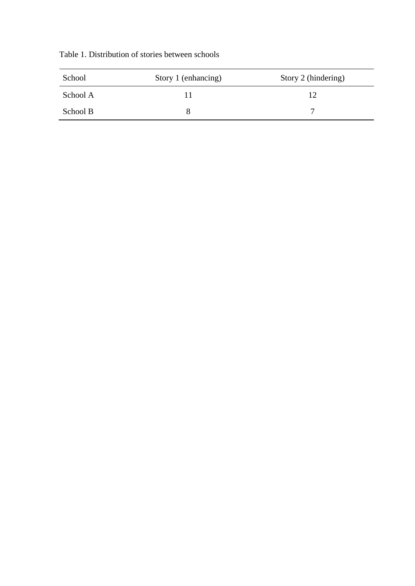|  | Table 1. Distribution of stories between schools |  |  |  |
|--|--------------------------------------------------|--|--|--|
|--|--------------------------------------------------|--|--|--|

| School   | Story 1 (enhancing) | Story 2 (hindering) |
|----------|---------------------|---------------------|
| School A |                     |                     |
| School B |                     |                     |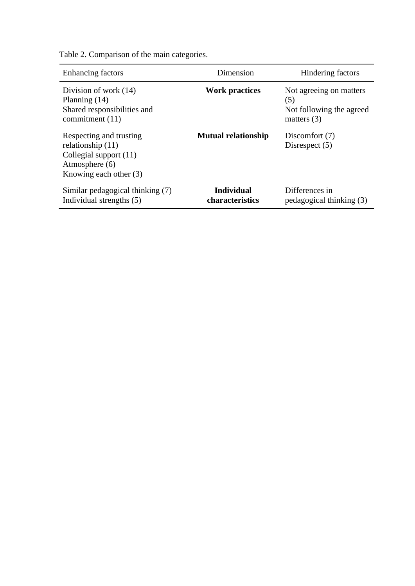| <b>Enhancing factors</b>                                                                                               | Dimension                            | Hindering factors                                                           |  |
|------------------------------------------------------------------------------------------------------------------------|--------------------------------------|-----------------------------------------------------------------------------|--|
| Division of work (14)<br>Planning $(14)$<br>Shared responsibilities and<br>commitment (11)                             | <b>Work practices</b>                | Not agreeing on matters<br>(5)<br>Not following the agreed<br>matters $(3)$ |  |
| Respecting and trusting<br>relationship $(11)$<br>Collegial support (11)<br>Atmosphere (6)<br>Knowing each other $(3)$ | <b>Mutual relationship</b>           | Discomfort (7)<br>Disrespect $(5)$                                          |  |
| Similar pedagogical thinking (7)<br>Individual strengths (5)                                                           | <b>Individual</b><br>characteristics | Differences in<br>pedagogical thinking (3)                                  |  |

Table 2. Comparison of the main categories.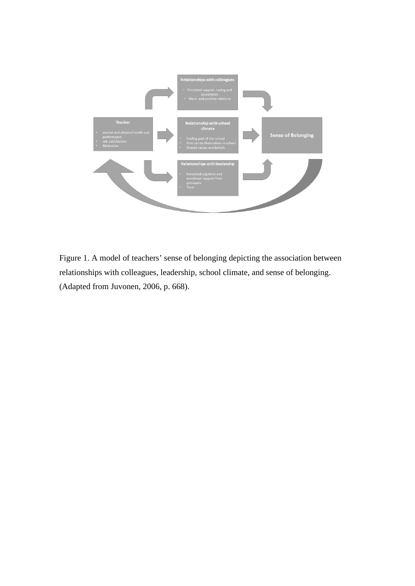

Figure 1. A model of teachers' sense of belonging depicting the association between relationships with colleagues, leadership, school climate, and sense of belonging. (Adapted from Juvonen, 2006, p. 668).